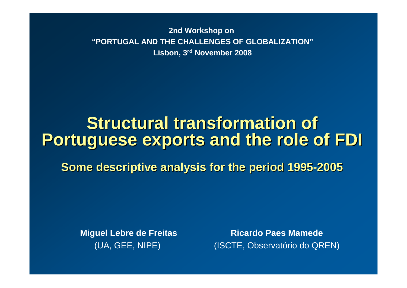**2nd Workshop on "PORTUGAL AND THE CHALLENGES OF GLOBALIZATION"Lisbon, 3rd November 2008**

# **Structural transformation of Portuguese exports and the role of FDI Portuguese exports and the role of FDI**

**Some descriptive analysis for the period 1995 Some descriptive analysis for the period 1995 -2005**

**Miguel Lebre de Freitas** (UA, GEE, NIPE)

**Ricardo Paes Mamede**(ISCTE, Observatório do QREN)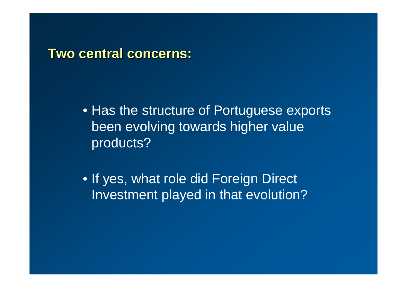### **Two central concerns: Two central concerns:**

• Has the structure of Portuguese exports been evolving towards higher value products?

• If yes, what role did Foreign Direct Investment played in that evolution?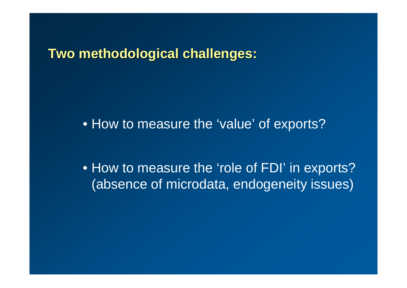**Two methodological challenges: Two methodological challenges:**

• How to measure the 'value' of exports?

• How to measure the 'role of FDI' in exports? (absence of microdata, endogeneity issues)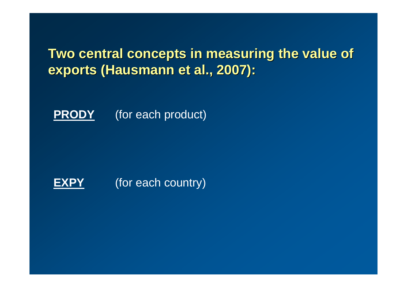## **Two central concepts in measuring the value of exports (Hausmann et al., 2007): exports (Hausmann et al., 2007):**

**PRODY**(for each product)

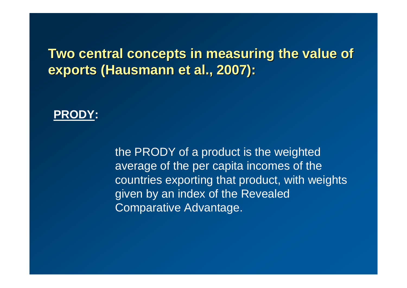### **Two central concepts in measuring the value of exports (Hausmann et al., 2007):**

#### **PRODY:**

the PRODY of a product is the weighted average of the per capita incomes of the countries exporting that product, with weights given by an index of the Revealed Comparative Advantage.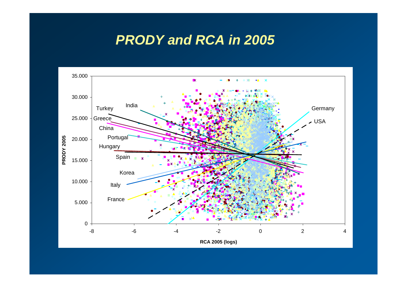### *PRODY and RCA in 2005*

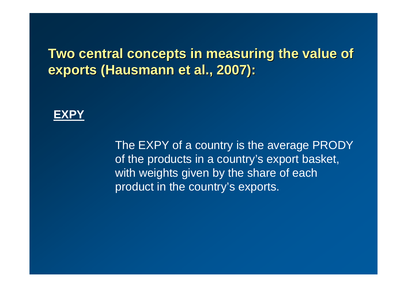### **Two central concepts in measuring the value of exports (Hausmann et al., 2007):**



The EXPY of a country is the average PRODY of the products in a country's export basket, with weights given by the share of each product in the country's exports.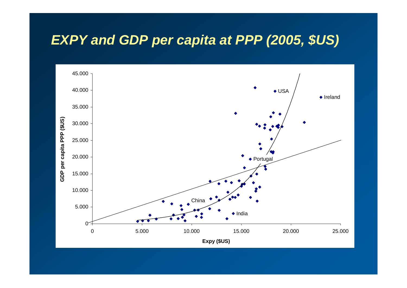### *EXPY and GDP per capita at PPP (2005, \$US)*

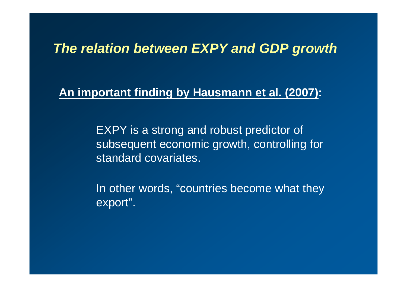### *The relation between EXPY and GDP growth*

#### **An important finding by Hausmann et al. (2007):**

EXPY is a strong and robust predictor of subsequent economic growth, controlling for standard covariates.

In other words, "countries become what they export".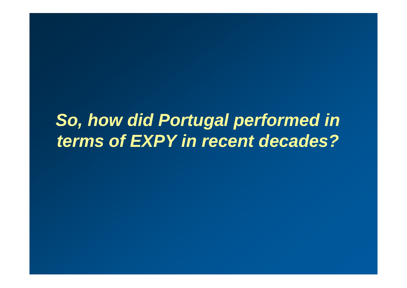# *So, how did Portugal performed in terms of EXPY in recent decades?*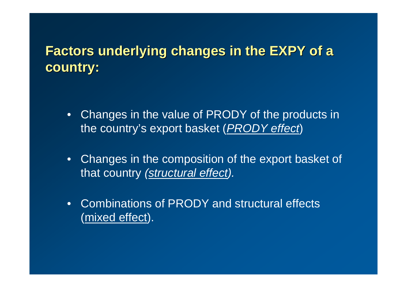# **Factors underlying changes in the EXPY of a country: country:**

- • Changes in the value of PRODY of the products in the country's export basket (*PRODY effect*)
- • Changes in the composition of the export basket of that country *(structural effect).*
- • Combinations of PRODY and structural effects (mixed effect).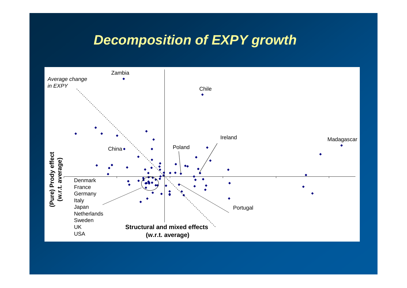### *Decomposition of EXPY growth*

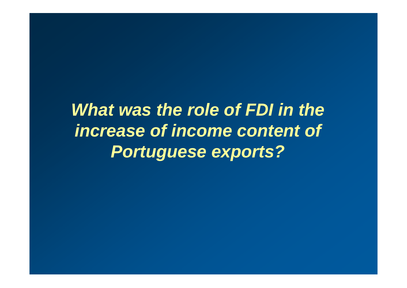*What was the role of FDI in the increase of income content of Portuguese exports?*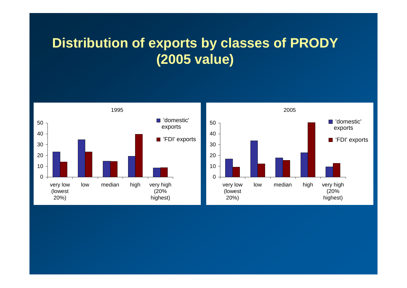# **Distribution of exports by classes of PRODY (2005 value)**

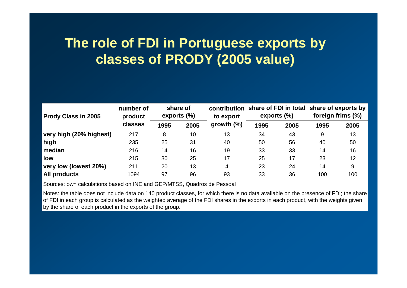# **The role of FDI in Portuguese exports by classes of PRODY (2005 value)**

| Prody Class in 2005     | number of<br>product<br>classes | share of<br>exports $(\%)$ |      | to export     | exports (%) |      | contribution share of FDI in total share of exports by<br>foreign frims (%) |      |
|-------------------------|---------------------------------|----------------------------|------|---------------|-------------|------|-----------------------------------------------------------------------------|------|
|                         |                                 | 1995                       | 2005 | growth $(\%)$ | 1995        | 2005 | 1995                                                                        | 2005 |
| very high (20% highest) | 217                             | 8                          | 10   | 13            | 34          | 43   | 9                                                                           | 13   |
| high                    | 235                             | 25                         | 31   | 40            | 50          | 56   | 40                                                                          | 50   |
| median                  | 216                             | 14                         | 16   | 19            | 33          | 33   | 14                                                                          | 16   |
| low                     | 215                             | 30                         | 25   | 17            | 25          | 17   | 23                                                                          | 12   |
| very low (lowest 20%)   | 211                             | 20                         | 13   | 4             | 23          | 24   | 14                                                                          | 9    |
| All products            | 1094                            | 97                         | 96   | 93            | 33          | 36   | 100                                                                         | 100  |

Sources: own calculations based on INE and GEP/MTSS, Quadros de Pessoal

Notes: the table does not include data on 140 product classes, for which there is no data available on the presence of FDI; the share of FDI in each group is calculated as the weighted average of the FDI shares in the exports in each product, with the weights given by the share of each product in the exports of the group.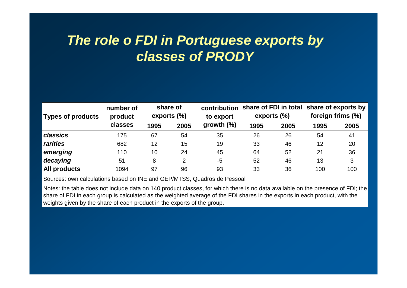# *The role o FDI in Portuguese exports by classes of PRODY*

| <b>Types of products</b> | number of<br>product<br>classes | share of<br>exports $(\%)$ |                | to export     | contribution share of FDI in total share of exports by<br>exports (%) |      | foreign frims (%) |      |
|--------------------------|---------------------------------|----------------------------|----------------|---------------|-----------------------------------------------------------------------|------|-------------------|------|
|                          |                                 | 1995                       | 2005           | growth $(\%)$ | 1995                                                                  | 2005 | 1995              | 2005 |
| classics                 | 175                             | 67                         | 54             | 35            | 26                                                                    | 26   | 54                | 41   |
| rarities                 | 682                             | 12                         | 15             | 19            | 33                                                                    | 46   | 12                | 20   |
| emerging                 | 110                             | 10                         | 24             | 45            | 64                                                                    | 52   | 21                | 36   |
| decaying                 | 51                              | 8                          | $\overline{2}$ | $-5$          | 52                                                                    | 46   | 13                | 3    |
| <b>All products</b>      | 1094                            | 97                         | 96             | 93            | 33                                                                    | 36   | 100               | 100  |

Sources: own calculations based on INE and GEP/MTSS, Quadros de Pessoal

Notes: the table does not include data on 140 product classes, for which there is no data available on the presence of FDI; the share of FDI in each group is calculated as the weighted average of the FDI shares in the exports in each product, with the weights given by the share of each product in the exports of the group.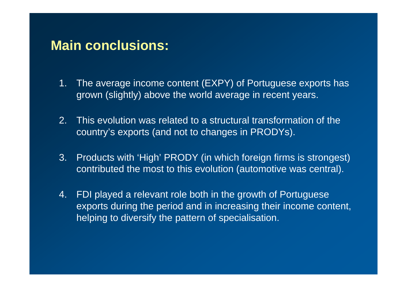### **Main conclusions:**

- 1. The average income content (EXPY) of Portuguese exports has grown (slightly) above the world average in recent years.
- 2. This evolution was related to a structural transformation of the country's exports (and not to changes in PRODYs).
- 3. Products with 'High' PRODY (in which foreign firms is strongest) contributed the most to this evolution (automotive was central).
- 4. FDI played a relevant role both in the growth of Portuguese exports during the period and in increasing their income content, helping to diversify the pattern of specialisation.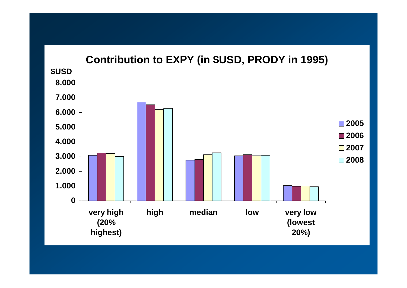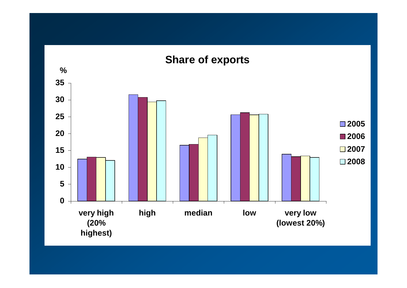